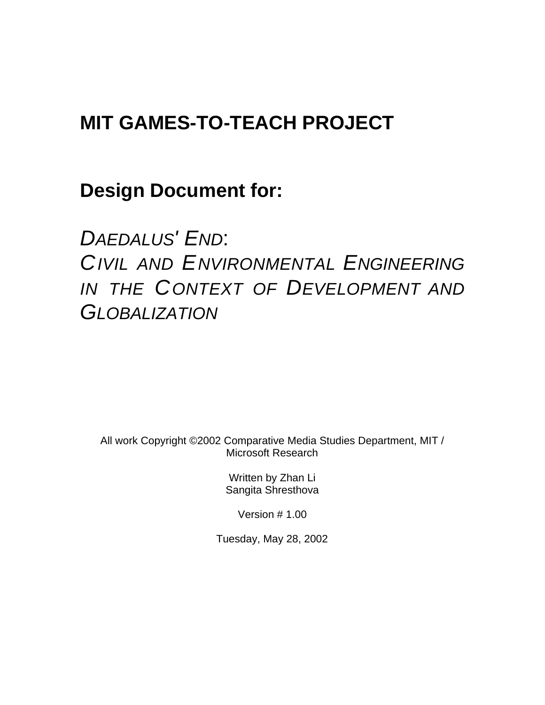# **MIT GAMES-TO-TEACH PROJECT**

# **Design Document for:**

*DAEDALUS' END*: *CIVIL AND ENVIRONMENTAL ENGINEERING IN THE CONTEXT OF DEVELOPMENT AND GLOBALIZATION*

All work Copyright ©2002 Comparative Media Studies Department, MIT / Microsoft Research

> Written by Zhan Li Sangita Shresthova

> > Version # 1.00

Tuesday, May 28, 2002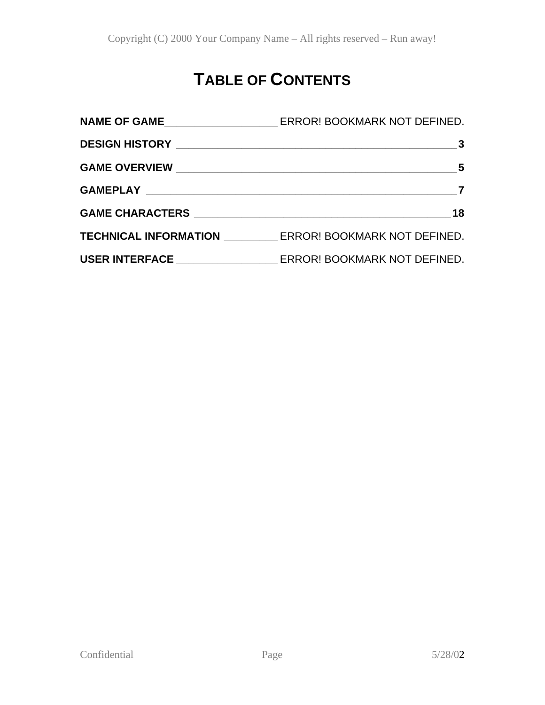# **TABLE OF CONTENTS**

| <b>TECHNICAL INFORMATION ERROR! BOOKMARK NOT DEFINED.</b>     |
|---------------------------------------------------------------|
| USER INTERFACE _________________ ERROR! BOOKMARK NOT DEFINED. |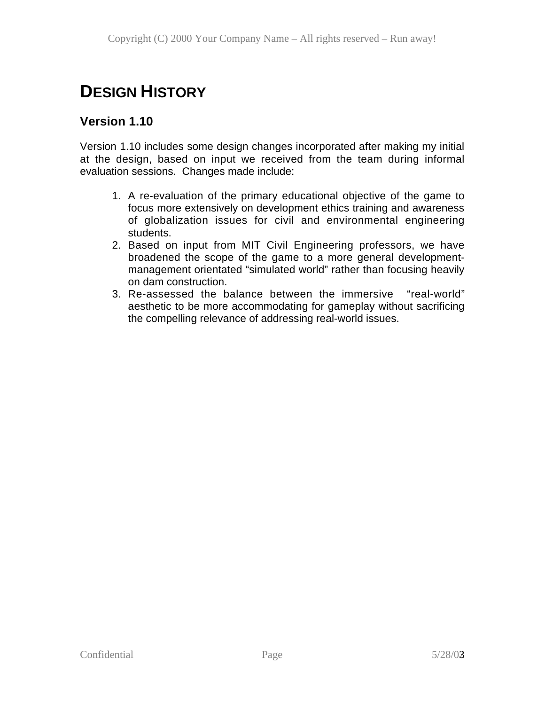# **DESIGN HISTORY**

### **Version 1.10**

Version 1.10 includes some design changes incorporated after making my initial at the design, based on input we received from the team during informal evaluation sessions. Changes made include:

- 1. A re-evaluation of the primary educational objective of the game to focus more extensively on development ethics training and awareness of globalization issues for civil and environmental engineering students.
- 2. Based on input from MIT Civil Engineering professors, we have broadened the scope of the game to a more general developmentmanagement orientated "simulated world" rather than focusing heavily on dam construction.
- 3. Re-assessed the balance between the immersive "real-world" aesthetic to be more accommodating for gameplay without sacrificing the compelling relevance of addressing real-world issues.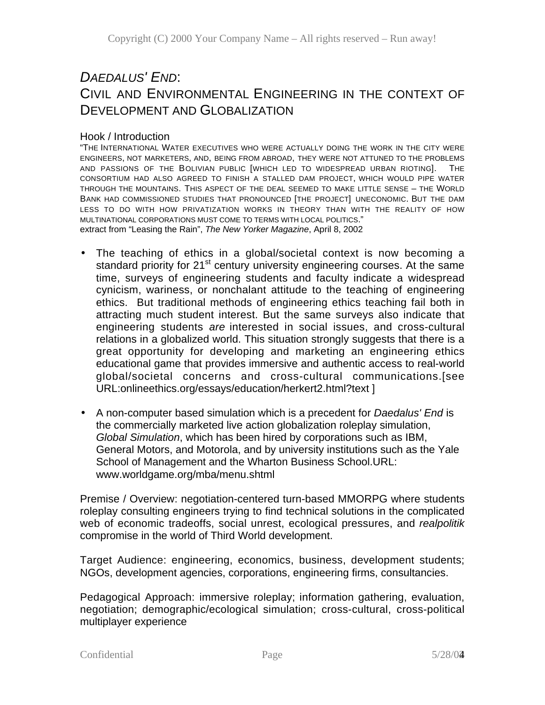## *DAEDALUS' END*: CIVIL AND ENVIRONMENTAL ENGINEERING IN THE CONTEXT OF DEVELOPMENT AND GLOBALIZATION

#### Hook / Introduction

"THE INTERNATIONAL WATER EXECUTIVES WHO WERE ACTUALLY DOING THE WORK IN THE CITY WERE ENGINEERS, NOT MARKETERS, AND, BEING FROM ABROAD, THEY WERE NOT ATTUNED TO THE PROBLEMS AND PASSIONS OF THE BOLIVIAN PUBLIC [WHICH LED TO WIDESPREAD URBAN RIOTING]. THE CONSORTIUM HAD ALSO AGREED TO FINISH A STALLED DAM PROJECT, WHICH WOULD PIPE WATER THROUGH THE MOUNTAINS. THIS ASPECT OF THE DEAL SEEMED TO MAKE LITTLE SENSE – THE WORLD BANK HAD COMMISSIONED STUDIES THAT PRONOUNCED [THE PROJECT] UNECONOMIC. BUT THE DAM LESS TO DO WITH HOW PRIVATIZATION WORKS IN THEORY THAN WITH THE REALITY OF HOW MULTINATIONAL CORPORATIONS MUST COME TO TERMS WITH LOCAL POLITICS." extract from "Leasing the Rain", *The New Yorker Magazine*, April 8, 2002

- The teaching of ethics in a global/societal context is now becoming a standard priority for 21<sup>st</sup> century university engineering courses. At the same time, surveys of engineering students and faculty indicate a widespread cynicism, wariness, or nonchalant attitude to the teaching of engineering ethics. But traditional methods of engineering ethics teaching fail both in attracting much student interest. But the same surveys also indicate that engineering students *are* interested in social issues, and cross-cultural relations in a globalized world. This situation strongly suggests that there is a great opportunity for developing and marketing an engineering ethics educational game that provides immersive and authentic access to real-world global/societal concerns and cross-cultural communications.[see URL:onlineethics.org/essays/education/herkert2.html?text ]
- A non-computer based simulation which is a precedent for *Daedalus' End* is the commercially marketed live action globalization roleplay simulation, *Global Simulation*, which has been hired by corporations such as IBM, General Motors, and Motorola, and by university institutions such as the Yale School of Management and the Wharton Business School.URL: www.worldgame.org/mba/menu.shtml

Premise / Overview: negotiation-centered turn-based MMORPG where students roleplay consulting engineers trying to find technical solutions in the complicated web of economic tradeoffs, social unrest, ecological pressures, and *realpolitik* compromise in the world of Third World development.

Target Audience: engineering, economics, business, development students; NGOs, development agencies, corporations, engineering firms, consultancies.

Pedagogical Approach: immersive roleplay; information gathering, evaluation, negotiation; demographic/ecological simulation; cross-cultural, cross-political multiplayer experience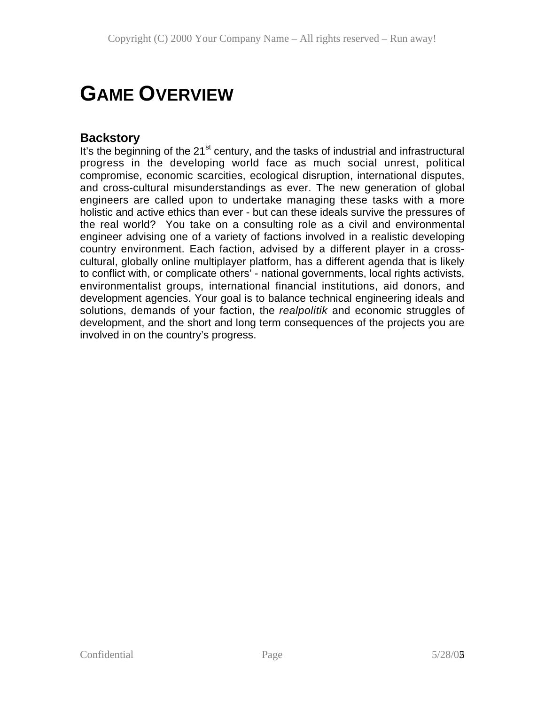# **GAME OVERVIEW**

#### **Backstory**

It's the beginning of the 21<sup>st</sup> century, and the tasks of industrial and infrastructural progress in the developing world face as much social unrest, political compromise, economic scarcities, ecological disruption, international disputes, and cross-cultural misunderstandings as ever. The new generation of global engineers are called upon to undertake managing these tasks with a more holistic and active ethics than ever - but can these ideals survive the pressures of the real world? You take on a consulting role as a civil and environmental engineer advising one of a variety of factions involved in a realistic developing country environment. Each faction, advised by a different player in a crosscultural, globally online multiplayer platform, has a different agenda that is likely to conflict with, or complicate others' - national governments, local rights activists, environmentalist groups, international financial institutions, aid donors, and development agencies. Your goal is to balance technical engineering ideals and solutions, demands of your faction, the *realpolitik* and economic struggles of development, and the short and long term consequences of the projects you are involved in on the country's progress.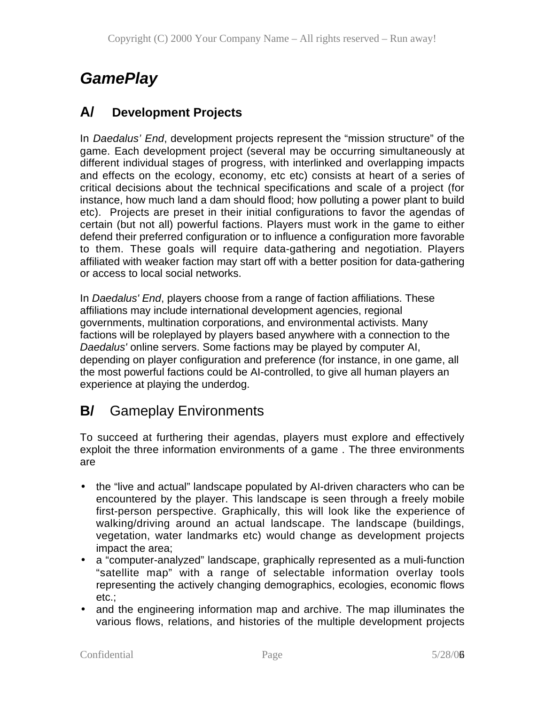# *GamePlay*

## **A/ Development Projects**

In *Daedalus' End*, development projects represent the "mission structure" of the game. Each development project (several may be occurring simultaneously at different individual stages of progress, with interlinked and overlapping impacts and effects on the ecology, economy, etc etc) consists at heart of a series of critical decisions about the technical specifications and scale of a project (for instance, how much land a dam should flood; how polluting a power plant to build etc). Projects are preset in their initial configurations to favor the agendas of certain (but not all) powerful factions. Players must work in the game to either defend their preferred configuration or to influence a configuration more favorable to them. These goals will require data-gathering and negotiation. Players affiliated with weaker faction may start off with a better position for data-gathering or access to local social networks.

In *Daedalus' End*, players choose from a range of faction affiliations. These affiliations may include international development agencies, regional governments, multination corporations, and environmental activists. Many factions will be roleplayed by players based anywhere with a connection to the *Daedalus'* online servers. Some factions may be played by computer AI, depending on player configuration and preference (for instance, in one game, all the most powerful factions could be AI-controlled, to give all human players an experience at playing the underdog.

## **B/** Gameplay Environments

To succeed at furthering their agendas, players must explore and effectively exploit the three information environments of a game . The three environments are

- the "live and actual" landscape populated by AI-driven characters who can be encountered by the player. This landscape is seen through a freely mobile first-person perspective. Graphically, this will look like the experience of walking/driving around an actual landscape. The landscape (buildings, vegetation, water landmarks etc) would change as development projects impact the area;
- a "computer-analyzed" landscape, graphically represented as a muli-function "satellite map" with a range of selectable information overlay tools representing the actively changing demographics, ecologies, economic flows etc.;
- and the engineering information map and archive. The map illuminates the various flows, relations, and histories of the multiple development projects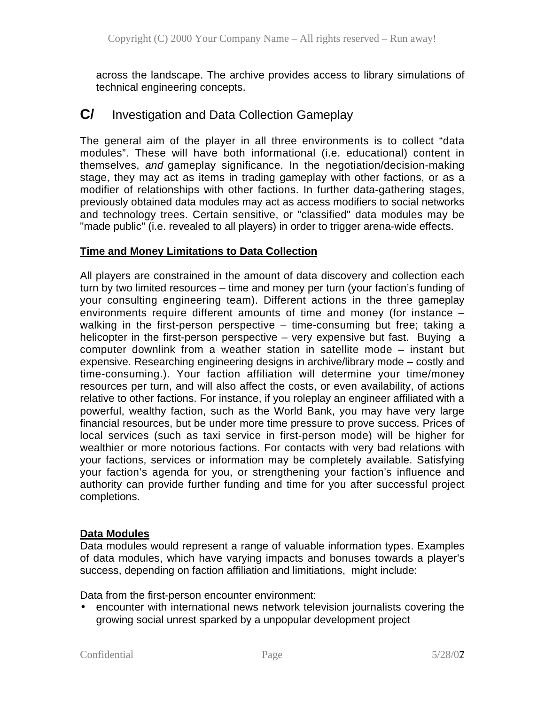across the landscape. The archive provides access to library simulations of technical engineering concepts.

### **C/** Investigation and Data Collection Gameplay

The general aim of the player in all three environments is to collect "data modules". These will have both informational (i.e. educational) content in themselves, *and* gameplay significance. In the negotiation/decision-making stage, they may act as items in trading gameplay with other factions, or as a modifier of relationships with other factions. In further data-gathering stages, previously obtained data modules may act as access modifiers to social networks and technology trees. Certain sensitive, or "classified" data modules may be "made public" (i.e. revealed to all players) in order to trigger arena-wide effects.

#### **Time and Money Limitations to Data Collection**

All players are constrained in the amount of data discovery and collection each turn by two limited resources – time and money per turn (your faction's funding of your consulting engineering team). Different actions in the three gameplay environments require different amounts of time and money (for instance – walking in the first-person perspective – time-consuming but free; taking a helicopter in the first-person perspective – very expensive but fast. Buying a computer downlink from a weather station in satellite mode – instant but expensive. Researching engineering designs in archive/library mode – costly and time-consuming.). Your faction affiliation will determine your time/money resources per turn, and will also affect the costs, or even availability, of actions relative to other factions. For instance, if you roleplay an engineer affiliated with a powerful, wealthy faction, such as the World Bank, you may have very large financial resources, but be under more time pressure to prove success. Prices of local services (such as taxi service in first-person mode) will be higher for wealthier or more notorious factions. For contacts with very bad relations with your factions, services or information may be completely available. Satisfying your faction's agenda for you, or strengthening your faction's influence and authority can provide further funding and time for you after successful project completions.

#### **Data Modules**

Data modules would represent a range of valuable information types. Examples of data modules, which have varying impacts and bonuses towards a player's success, depending on faction affiliation and limitiations, might include:

Data from the first-person encounter environment:

• encounter with international news network television journalists covering the growing social unrest sparked by a unpopular development project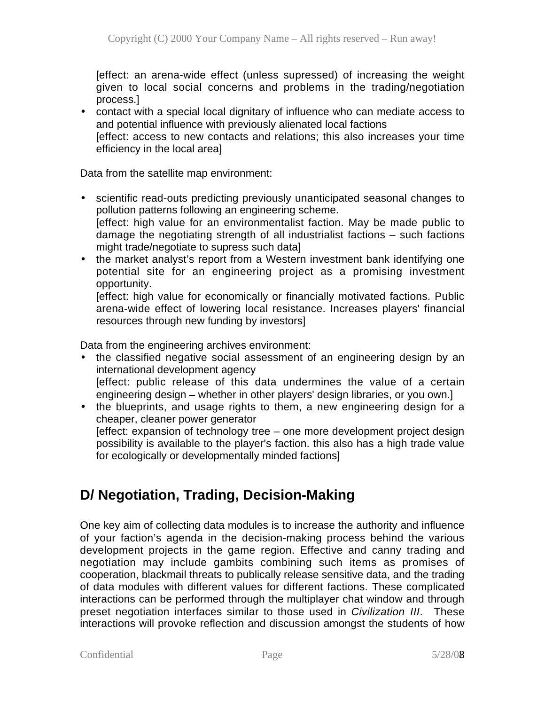[effect: an arena-wide effect (unless supressed) of increasing the weight given to local social concerns and problems in the trading/negotiation process.]

• contact with a special local dignitary of influence who can mediate access to and potential influence with previously alienated local factions

[effect: access to new contacts and relations; this also increases your time efficiency in the local area]

Data from the satellite map environment:

- scientific read-outs predicting previously unanticipated seasonal changes to pollution patterns following an engineering scheme. [effect: high value for an environmentalist faction. May be made public to damage the negotiating strength of all industrialist factions – such factions might trade/negotiate to supress such data]
- the market analyst's report from a Western investment bank identifying one potential site for an engineering project as a promising investment opportunity.

[effect: high value for economically or financially motivated factions. Public arena-wide effect of lowering local resistance. Increases players' financial resources through new funding by investors]

Data from the engineering archives environment:

- the classified negative social assessment of an engineering design by an international development agency [effect: public release of this data undermines the value of a certain engineering design – whether in other players' design libraries, or you own.]
- the blueprints, and usage rights to them, a new engineering design for a cheaper, cleaner power generator [effect: expansion of technology tree – one more development project design possibility is available to the player's faction. this also has a high trade value for ecologically or developmentally minded factions]

## **D/ Negotiation, Trading, Decision-Making**

One key aim of collecting data modules is to increase the authority and influence of your faction's agenda in the decision-making process behind the various development projects in the game region. Effective and canny trading and negotiation may include gambits combining such items as promises of cooperation, blackmail threats to publically release sensitive data, and the trading of data modules with different values for different factions. These complicated interactions can be performed through the multiplayer chat window and through preset negotiation interfaces similar to those used in *Civilization III*. These interactions will provoke reflection and discussion amongst the students of how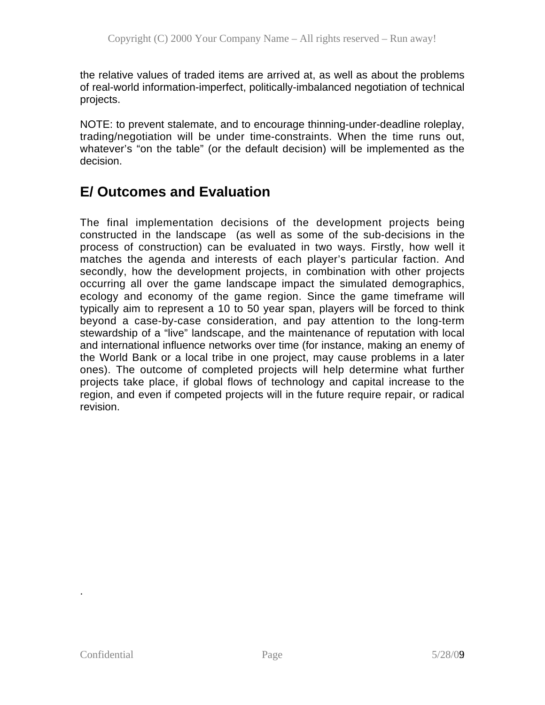the relative values of traded items are arrived at, as well as about the problems of real-world information-imperfect, politically-imbalanced negotiation of technical projects.

NOTE: to prevent stalemate, and to encourage thinning-under-deadline roleplay, trading/negotiation will be under time-constraints. When the time runs out, whatever's "on the table" (or the default decision) will be implemented as the decision.

## **E/ Outcomes and Evaluation**

The final implementation decisions of the development projects being constructed in the landscape (as well as some of the sub-decisions in the process of construction) can be evaluated in two ways. Firstly, how well it matches the agenda and interests of each player's particular faction. And secondly, how the development projects, in combination with other projects occurring all over the game landscape impact the simulated demographics, ecology and economy of the game region. Since the game timeframe will typically aim to represent a 10 to 50 year span, players will be forced to think beyond a case-by-case consideration, and pay attention to the long-term stewardship of a "live" landscape, and the maintenance of reputation with local and international influence networks over time (for instance, making an enemy of the World Bank or a local tribe in one project, may cause problems in a later ones). The outcome of completed projects will help determine what further projects take place, if global flows of technology and capital increase to the region, and even if competed projects will in the future require repair, or radical revision.

.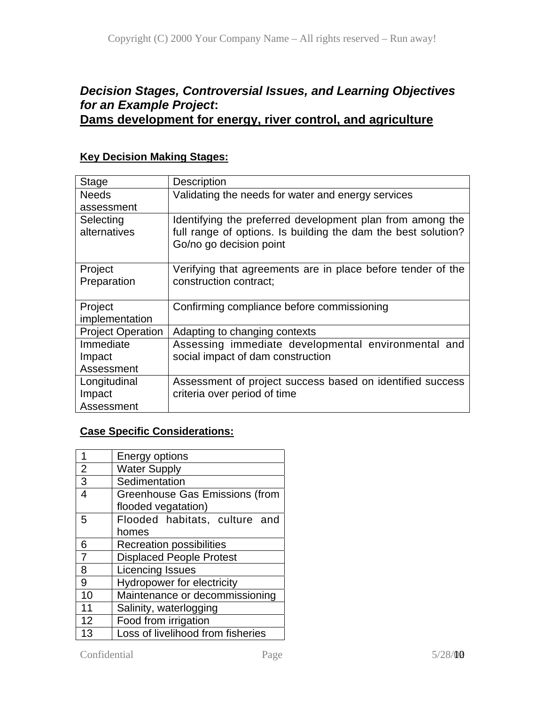#### *Decision Stages, Controversial Issues, and Learning Objectives for an Example Project***: Dams development for energy, river control, and agriculture**

#### **Key Decision Making Stages:**

| <b>Stage</b>             | <b>Description</b>                                                                       |
|--------------------------|------------------------------------------------------------------------------------------|
| <b>Needs</b>             | Validating the needs for water and energy services                                       |
| assessment               |                                                                                          |
| Selecting                | Identifying the preferred development plan from among the                                |
| alternatives             | full range of options. Is building the dam the best solution?<br>Go/no go decision point |
| Project                  | Verifying that agreements are in place before tender of the                              |
| Preparation              | construction contract;                                                                   |
| Project                  | Confirming compliance before commissioning                                               |
| implementation           |                                                                                          |
| <b>Project Operation</b> | Adapting to changing contexts                                                            |
| Immediate                | Assessing immediate developmental environmental and                                      |
| Impact                   | social impact of dam construction                                                        |
| Assessment               |                                                                                          |
| Longitudinal             | Assessment of project success based on identified success                                |
| Impact                   | criteria over period of time                                                             |
| Assessment               |                                                                                          |

#### **Case Specific Considerations:**

| <b>Energy options</b>                 |
|---------------------------------------|
| <b>Water Supply</b>                   |
| Sedimentation                         |
| <b>Greenhouse Gas Emissions (from</b> |
| flooded vegatation)                   |
| Flooded habitats, culture and         |
| homes                                 |
| <b>Recreation possibilities</b>       |
| <b>Displaced People Protest</b>       |
| <b>Licencing Issues</b>               |
| <b>Hydropower for electricity</b>     |
| Maintenance or decommissioning        |
| Salinity, waterlogging                |
| Food from irrigation                  |
| Loss of livelihood from fisheries     |
|                                       |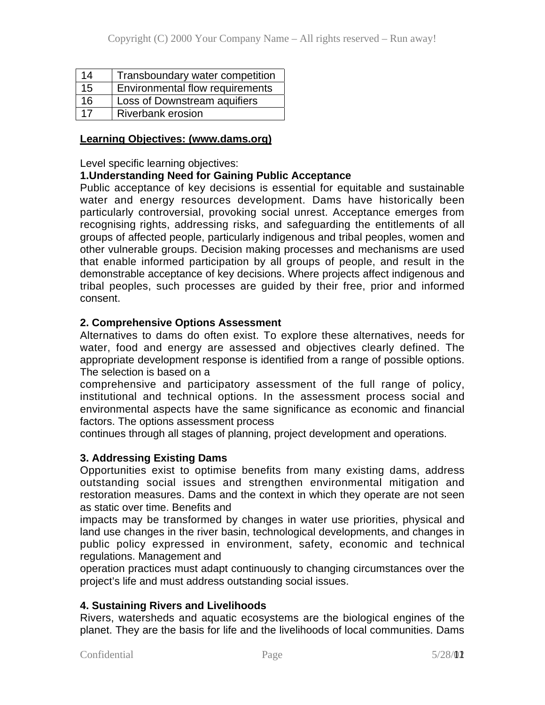| 14 | Transboundary water competition |
|----|---------------------------------|
| 15 | Environmental flow requirements |
| 16 | Loss of Downstream aquifiers    |
| 17 | <b>Riverbank erosion</b>        |

#### **Learning Objectives: (www.dams.org)**

Level specific learning objectives:

#### **1.Understanding Need for Gaining Public Acceptance**

Public acceptance of key decisions is essential for equitable and sustainable water and energy resources development. Dams have historically been particularly controversial, provoking social unrest. Acceptance emerges from recognising rights, addressing risks, and safeguarding the entitlements of all groups of affected people, particularly indigenous and tribal peoples, women and other vulnerable groups. Decision making processes and mechanisms are used that enable informed participation by all groups of people, and result in the demonstrable acceptance of key decisions. Where projects affect indigenous and tribal peoples, such processes are guided by their free, prior and informed consent.

#### **2. Comprehensive Options Assessment**

Alternatives to dams do often exist. To explore these alternatives, needs for water, food and energy are assessed and objectives clearly defined. The appropriate development response is identified from a range of possible options. The selection is based on a

comprehensive and participatory assessment of the full range of policy, institutional and technical options. In the assessment process social and environmental aspects have the same significance as economic and financial factors. The options assessment process

continues through all stages of planning, project development and operations.

#### **3. Addressing Existing Dams**

Opportunities exist to optimise benefits from many existing dams, address outstanding social issues and strengthen environmental mitigation and restoration measures. Dams and the context in which they operate are not seen as static over time. Benefits and

impacts may be transformed by changes in water use priorities, physical and land use changes in the river basin, technological developments, and changes in public policy expressed in environment, safety, economic and technical regulations. Management and

operation practices must adapt continuously to changing circumstances over the project's life and must address outstanding social issues.

#### **4. Sustaining Rivers and Livelihoods**

Rivers, watersheds and aquatic ecosystems are the biological engines of the planet. They are the basis for life and the livelihoods of local communities. Dams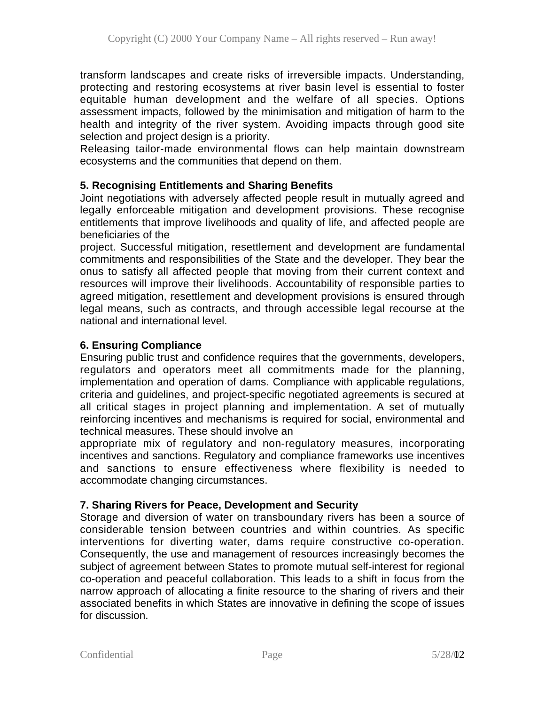transform landscapes and create risks of irreversible impacts. Understanding, protecting and restoring ecosystems at river basin level is essential to foster equitable human development and the welfare of all species. Options assessment impacts, followed by the minimisation and mitigation of harm to the health and integrity of the river system. Avoiding impacts through good site selection and project design is a priority.

Releasing tailor-made environmental flows can help maintain downstream ecosystems and the communities that depend on them.

#### **5. Recognising Entitlements and Sharing Benefits**

Joint negotiations with adversely affected people result in mutually agreed and legally enforceable mitigation and development provisions. These recognise entitlements that improve livelihoods and quality of life, and affected people are beneficiaries of the

project. Successful mitigation, resettlement and development are fundamental commitments and responsibilities of the State and the developer. They bear the onus to satisfy all affected people that moving from their current context and resources will improve their livelihoods. Accountability of responsible parties to agreed mitigation, resettlement and development provisions is ensured through legal means, such as contracts, and through accessible legal recourse at the national and international level.

#### **6. Ensuring Compliance**

Ensuring public trust and confidence requires that the governments, developers, regulators and operators meet all commitments made for the planning, implementation and operation of dams. Compliance with applicable regulations, criteria and guidelines, and project-specific negotiated agreements is secured at all critical stages in project planning and implementation. A set of mutually reinforcing incentives and mechanisms is required for social, environmental and technical measures. These should involve an

appropriate mix of regulatory and non-regulatory measures, incorporating incentives and sanctions. Regulatory and compliance frameworks use incentives and sanctions to ensure effectiveness where flexibility is needed to accommodate changing circumstances.

#### **7. Sharing Rivers for Peace, Development and Security**

Storage and diversion of water on transboundary rivers has been a source of considerable tension between countries and within countries. As specific interventions for diverting water, dams require constructive co-operation. Consequently, the use and management of resources increasingly becomes the subject of agreement between States to promote mutual self-interest for regional co-operation and peaceful collaboration. This leads to a shift in focus from the narrow approach of allocating a finite resource to the sharing of rivers and their associated benefits in which States are innovative in defining the scope of issues for discussion.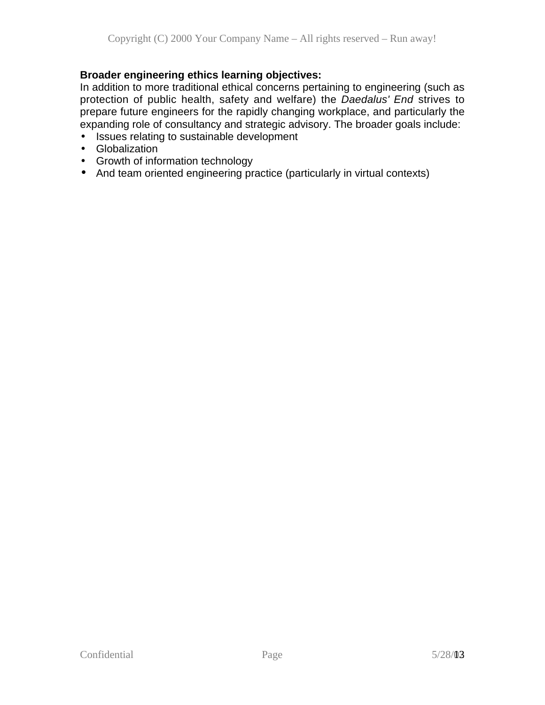#### **Broader engineering ethics learning objectives:**

In addition to more traditional ethical concerns pertaining to engineering (such as protection of public health, safety and welfare) the *Daedalus' End* strives to prepare future engineers for the rapidly changing workplace, and particularly the expanding role of consultancy and strategic advisory. The broader goals include:

- Issues relating to sustainable development
- Globalization
- Growth of information technology
- And team oriented engineering practice (particularly in virtual contexts)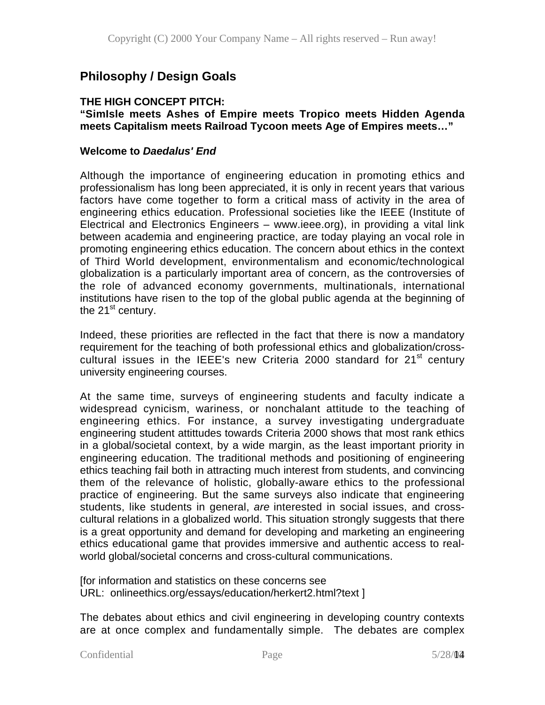#### **Philosophy / Design Goals**

#### **THE HIGH CONCEPT PITCH: "SimIsle meets Ashes of Empire meets Tropico meets Hidden Agenda meets Capitalism meets Railroad Tycoon meets Age of Empires meets…"**

#### **Welcome to** *Daedalus' End*

Although the importance of engineering education in promoting ethics and professionalism has long been appreciated, it is only in recent years that various factors have come together to form a critical mass of activity in the area of engineering ethics education. Professional societies like the IEEE (Institute of Electrical and Electronics Engineers – www.ieee.org), in providing a vital link between academia and engineering practice, are today playing an vocal role in promoting engineering ethics education. The concern about ethics in the context of Third World development, environmentalism and economic/technological globalization is a particularly important area of concern, as the controversies of the role of advanced economy governments, multinationals, international institutions have risen to the top of the global public agenda at the beginning of the  $21<sup>st</sup>$  century.

Indeed, these priorities are reflected in the fact that there is now a mandatory requirement for the teaching of both professional ethics and globalization/crosscultural issues in the IEEE's new Criteria 2000 standard for  $21<sup>st</sup>$  century university engineering courses.

At the same time, surveys of engineering students and faculty indicate a widespread cynicism, wariness, or nonchalant attitude to the teaching of engineering ethics. For instance, a survey investigating undergraduate engineering student attittudes towards Criteria 2000 shows that most rank ethics in a global/societal context, by a wide margin, as the least important priority in engineering education. The traditional methods and positioning of engineering ethics teaching fail both in attracting much interest from students, and convincing them of the relevance of holistic, globally-aware ethics to the professional practice of engineering. But the same surveys also indicate that engineering students, like students in general, *are* interested in social issues, and crosscultural relations in a globalized world. This situation strongly suggests that there is a great opportunity and demand for developing and marketing an engineering ethics educational game that provides immersive and authentic access to realworld global/societal concerns and cross-cultural communications.

[for information and statistics on these concerns see URL: onlineethics.org/essays/education/herkert2.html?text ]

The debates about ethics and civil engineering in developing country contexts are at once complex and fundamentally simple. The debates are complex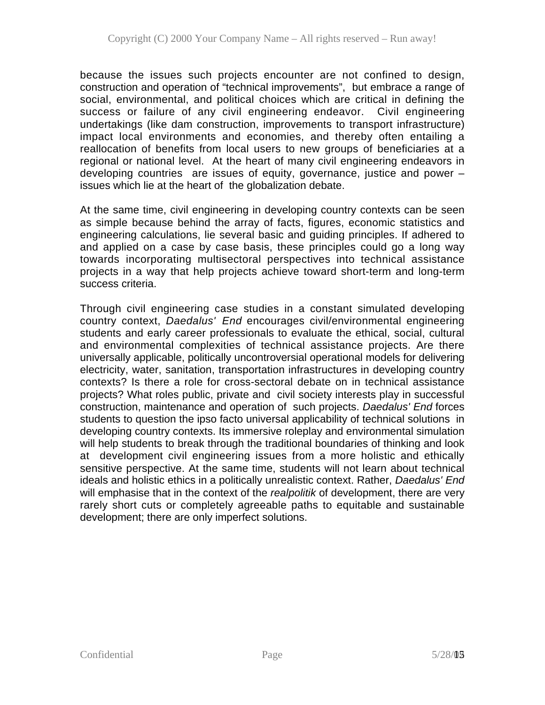because the issues such projects encounter are not confined to design, construction and operation of "technical improvements", but embrace a range of social, environmental, and political choices which are critical in defining the success or failure of any civil engineering endeavor. Civil engineering undertakings (like dam construction, improvements to transport infrastructure) impact local environments and economies, and thereby often entailing a reallocation of benefits from local users to new groups of beneficiaries at a regional or national level. At the heart of many civil engineering endeavors in developing countries are issues of equity, governance, justice and power – issues which lie at the heart of the globalization debate.

At the same time, civil engineering in developing country contexts can be seen as simple because behind the array of facts, figures, economic statistics and engineering calculations, lie several basic and guiding principles. If adhered to and applied on a case by case basis, these principles could go a long way towards incorporating multisectoral perspectives into technical assistance projects in a way that help projects achieve toward short-term and long-term success criteria.

Through civil engineering case studies in a constant simulated developing country context, *Daedalus' End* encourages civil/environmental engineering students and early career professionals to evaluate the ethical, social, cultural and environmental complexities of technical assistance projects. Are there universally applicable, politically uncontroversial operational models for delivering electricity, water, sanitation, transportation infrastructures in developing country contexts? Is there a role for cross-sectoral debate on in technical assistance projects? What roles public, private and civil society interests play in successful construction, maintenance and operation of such projects. *Daedalus' End* forces students to question the ipso facto universal applicability of technical solutions in developing country contexts. Its immersive roleplay and environmental simulation will help students to break through the traditional boundaries of thinking and look at development civil engineering issues from a more holistic and ethically sensitive perspective. At the same time, students will not learn about technical ideals and holistic ethics in a politically unrealistic context. Rather, *Daedalus' End* will emphasise that in the context of the *realpolitik* of development, there are very rarely short cuts or completely agreeable paths to equitable and sustainable development; there are only imperfect solutions.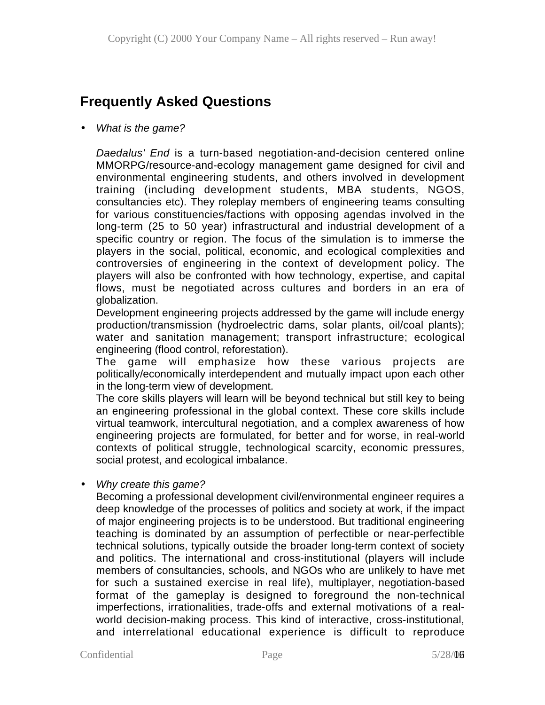## **Frequently Asked Questions**

• *What is the game?*

*Daedalus' End* is a turn-based negotiation-and-decision centered online MMORPG/resource-and-ecology management game designed for civil and environmental engineering students, and others involved in development training (including development students, MBA students, NGOS, consultancies etc). They roleplay members of engineering teams consulting for various constituencies/factions with opposing agendas involved in the long-term (25 to 50 year) infrastructural and industrial development of a specific country or region. The focus of the simulation is to immerse the players in the social, political, economic, and ecological complexities and controversies of engineering in the context of development policy. The players will also be confronted with how technology, expertise, and capital flows, must be negotiated across cultures and borders in an era of globalization.

Development engineering projects addressed by the game will include energy production/transmission (hydroelectric dams, solar plants, oil/coal plants); water and sanitation management; transport infrastructure; ecological engineering (flood control, reforestation).

The game will emphasize how these various projects are politically/economically interdependent and mutually impact upon each other in the long-term view of development.

The core skills players will learn will be beyond technical but still key to being an engineering professional in the global context. These core skills include virtual teamwork, intercultural negotiation, and a complex awareness of how engineering projects are formulated, for better and for worse, in real-world contexts of political struggle, technological scarcity, economic pressures, social protest, and ecological imbalance.

• *Why create this game?*

Becoming a professional development civil/environmental engineer requires a deep knowledge of the processes of politics and society at work, if the impact of major engineering projects is to be understood. But traditional engineering teaching is dominated by an assumption of perfectible or near-perfectible technical solutions, typically outside the broader long-term context of society and politics. The international and cross-institutional (players will include members of consultancies, schools, and NGOs who are unlikely to have met for such a sustained exercise in real life), multiplayer, negotiation-based format of the gameplay is designed to foreground the non-technical imperfections, irrationalities, trade-offs and external motivations of a realworld decision-making process. This kind of interactive, cross-institutional, and interrelational educational experience is difficult to reproduce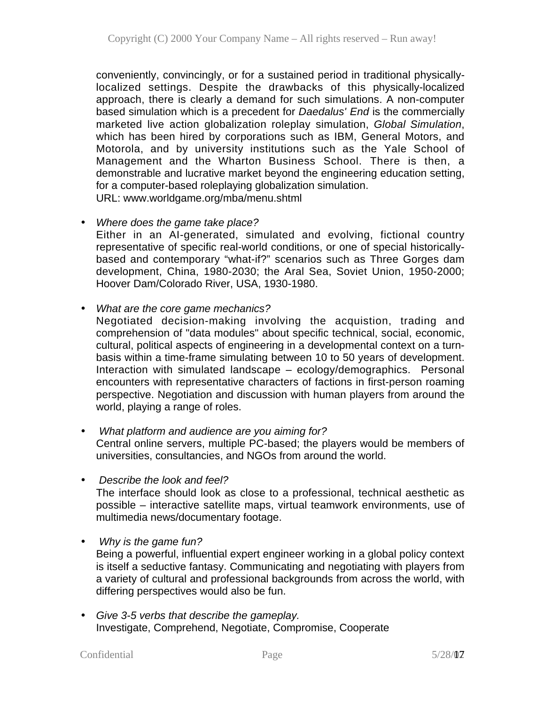conveniently, convincingly, or for a sustained period in traditional physicallylocalized settings. Despite the drawbacks of this physically-localized approach, there is clearly a demand for such simulations. A non-computer based simulation which is a precedent for *Daedalus' End* is the commercially marketed live action globalization roleplay simulation, *Global Simulation*, which has been hired by corporations such as IBM, General Motors, and Motorola, and by university institutions such as the Yale School of Management and the Wharton Business School. There is then, a demonstrable and lucrative market beyond the engineering education setting, for a computer-based roleplaying globalization simulation. URL: www.worldgame.org/mba/menu.shtml

• *Where does the game take place?* Either in an AI-generated, simulated and evolving, fictional country representative of specific real-world conditions, or one of special historicallybased and contemporary "what-if?" scenarios such as Three Gorges dam development, China, 1980-2030; the Aral Sea, Soviet Union, 1950-2000; Hoover Dam/Colorado River, USA, 1930-1980.

• *What are the core game mechanics?*

Negotiated decision-making involving the acquistion, trading and comprehension of "data modules" about specific technical, social, economic, cultural, political aspects of engineering in a developmental context on a turnbasis within a time-frame simulating between 10 to 50 years of development. Interaction with simulated landscape – ecology/demographics. Personal encounters with representative characters of factions in first-person roaming perspective. Negotiation and discussion with human players from around the world, playing a range of roles.

- • *What platform and audience are you aiming for?* Central online servers, multiple PC-based; the players would be members of universities, consultancies, and NGOs from around the world.
- • *Describe the look and feel?* The interface should look as close to a professional, technical aesthetic as possible – interactive satellite maps, virtual teamwork environments, use of multimedia news/documentary footage.

• *Why is the game fun?*

Being a powerful, influential expert engineer working in a global policy context is itself a seductive fantasy. Communicating and negotiating with players from a variety of cultural and professional backgrounds from across the world, with differing perspectives would also be fun.

• *Give 3-5 verbs that describe the gameplay.* Investigate, Comprehend, Negotiate, Compromise, Cooperate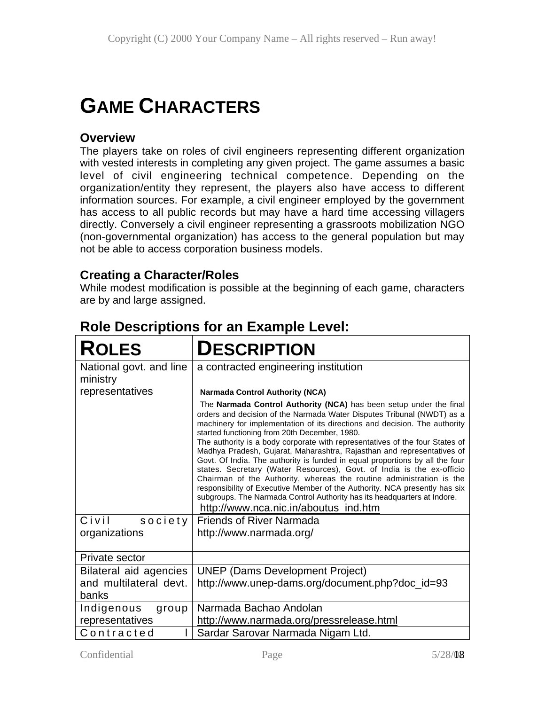# **GAME CHARACTERS**

#### **Overview**

The players take on roles of civil engineers representing different organization with vested interests in completing any given project. The game assumes a basic level of civil engineering technical competence. Depending on the organization/entity they represent, the players also have access to different information sources. For example, a civil engineer employed by the government has access to all public records but may have a hard time accessing villagers directly. Conversely a civil engineer representing a grassroots mobilization NGO (non-governmental organization) has access to the general population but may not be able to access corporation business models.

#### **Creating a Character/Roles**

While modest modification is possible at the beginning of each game, characters are by and large assigned.

| <b>ROLES</b>                        | <b>DESCRIPTION</b>                                                                                                                                                                                                                                                                                                                                                                                                                                                                                                                                                                                                                                                                                                                                                                                                                                                        |
|-------------------------------------|---------------------------------------------------------------------------------------------------------------------------------------------------------------------------------------------------------------------------------------------------------------------------------------------------------------------------------------------------------------------------------------------------------------------------------------------------------------------------------------------------------------------------------------------------------------------------------------------------------------------------------------------------------------------------------------------------------------------------------------------------------------------------------------------------------------------------------------------------------------------------|
| National govt. and line<br>ministry | a contracted engineering institution                                                                                                                                                                                                                                                                                                                                                                                                                                                                                                                                                                                                                                                                                                                                                                                                                                      |
| representatives                     | <b>Narmada Control Authority (NCA)</b>                                                                                                                                                                                                                                                                                                                                                                                                                                                                                                                                                                                                                                                                                                                                                                                                                                    |
|                                     | The Narmada Control Authority (NCA) has been setup under the final<br>orders and decision of the Narmada Water Disputes Tribunal (NWDT) as a<br>machinery for implementation of its directions and decision. The authority<br>started functioning from 20th December, 1980.<br>The authority is a body corporate with representatives of the four States of<br>Madhya Pradesh, Gujarat, Maharashtra, Rajasthan and representatives of<br>Govt. Of India. The authority is funded in equal proportions by all the four<br>states. Secretary (Water Resources), Govt. of India is the ex-officio<br>Chairman of the Authority, whereas the routine administration is the<br>responsibility of Executive Member of the Authority. NCA presently has six<br>subgroups. The Narmada Control Authority has its headquarters at Indore.<br>http://www.nca.nic.in/aboutus ind.htm |
| Civil<br>society                    | <b>Friends of River Narmada</b>                                                                                                                                                                                                                                                                                                                                                                                                                                                                                                                                                                                                                                                                                                                                                                                                                                           |
| organizations                       | http://www.narmada.org/                                                                                                                                                                                                                                                                                                                                                                                                                                                                                                                                                                                                                                                                                                                                                                                                                                                   |
| Private sector                      |                                                                                                                                                                                                                                                                                                                                                                                                                                                                                                                                                                                                                                                                                                                                                                                                                                                                           |
| Bilateral aid agencies              | <b>UNEP (Dams Development Project)</b>                                                                                                                                                                                                                                                                                                                                                                                                                                                                                                                                                                                                                                                                                                                                                                                                                                    |
| and multilateral devt.<br>banks     | http://www.unep-dams.org/document.php?doc_id=93                                                                                                                                                                                                                                                                                                                                                                                                                                                                                                                                                                                                                                                                                                                                                                                                                           |
| Indigenous<br>group                 | Narmada Bachao Andolan                                                                                                                                                                                                                                                                                                                                                                                                                                                                                                                                                                                                                                                                                                                                                                                                                                                    |
| representatives                     | http://www.narmada.org/pressrelease.html                                                                                                                                                                                                                                                                                                                                                                                                                                                                                                                                                                                                                                                                                                                                                                                                                                  |
| Contracted                          | Sardar Sarovar Narmada Nigam Ltd.                                                                                                                                                                                                                                                                                                                                                                                                                                                                                                                                                                                                                                                                                                                                                                                                                                         |

## **Role Descriptions for an Example Level:**

Confidential Page 5/28/08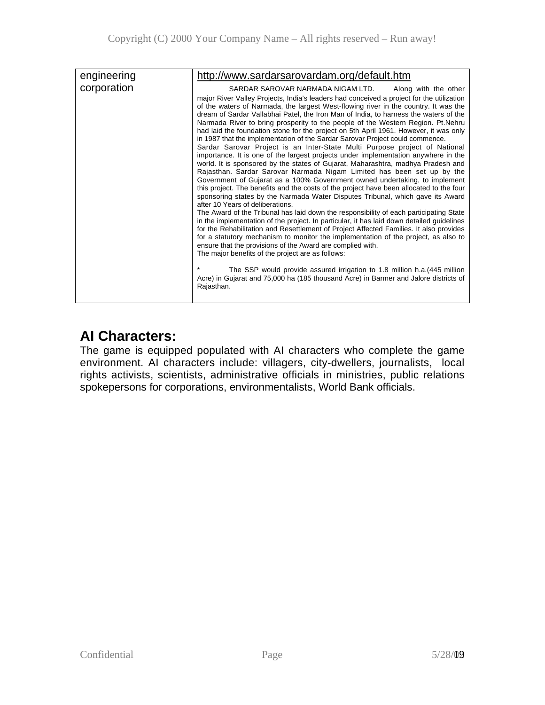| engineering | http://www.sardarsarovardam.org/default.htm                                                                                                                                                                                                                                                                                                                                                                                                                                                                                                                                                                                                                                                                                                                                                                                                                                                                                                                                                                                                                                                                                                                                                                                                                                                                                                                                                                                                                                                                                                                                                                                                                                                                                                                                                                                                                                                                      |
|-------------|------------------------------------------------------------------------------------------------------------------------------------------------------------------------------------------------------------------------------------------------------------------------------------------------------------------------------------------------------------------------------------------------------------------------------------------------------------------------------------------------------------------------------------------------------------------------------------------------------------------------------------------------------------------------------------------------------------------------------------------------------------------------------------------------------------------------------------------------------------------------------------------------------------------------------------------------------------------------------------------------------------------------------------------------------------------------------------------------------------------------------------------------------------------------------------------------------------------------------------------------------------------------------------------------------------------------------------------------------------------------------------------------------------------------------------------------------------------------------------------------------------------------------------------------------------------------------------------------------------------------------------------------------------------------------------------------------------------------------------------------------------------------------------------------------------------------------------------------------------------------------------------------------------------|
| corporation | SARDAR SAROVAR NARMADA NIGAM LTD.<br>Along with the other<br>major River Valley Projects, India's leaders had conceived a project for the utilization<br>of the waters of Narmada, the largest West-flowing river in the country. It was the<br>dream of Sardar Vallabhai Patel, the Iron Man of India, to harness the waters of the<br>Narmada River to bring prosperity to the people of the Western Region. Pt. Nehru<br>had laid the foundation stone for the project on 5th April 1961. However, it was only<br>in 1987 that the implementation of the Sardar Sarovar Project could commence.<br>Sardar Sarovar Project is an Inter-State Multi Purpose project of National<br>importance. It is one of the largest projects under implementation anywhere in the<br>world. It is sponsored by the states of Gujarat, Maharashtra, madhya Pradesh and<br>Rajasthan. Sardar Sarovar Narmada Nigam Limited has been set up by the<br>Government of Gujarat as a 100% Government owned undertaking, to implement<br>this project. The benefits and the costs of the project have been allocated to the four<br>sponsoring states by the Narmada Water Disputes Tribunal, which gave its Award<br>after 10 Years of deliberations.<br>The Award of the Tribunal has laid down the responsibility of each participating State<br>in the implementation of the project. In particular, it has laid down detailed guidelines<br>for the Rehabilitation and Resettlement of Project Affected Families. It also provides<br>for a statutory mechanism to monitor the implementation of the project, as also to<br>ensure that the provisions of the Award are complied with.<br>The major benefits of the project are as follows:<br>The SSP would provide assured irrigation to 1.8 million h.a. (445 million<br>Acre) in Gujarat and 75,000 ha (185 thousand Acre) in Barmer and Jalore districts of<br>Rajasthan. |

## **AI Characters:**

The game is equipped populated with AI characters who complete the game environment. AI characters include: villagers, city-dwellers, journalists, local rights activists, scientists, administrative officials in ministries, public relations spokepersons for corporations, environmentalists, World Bank officials.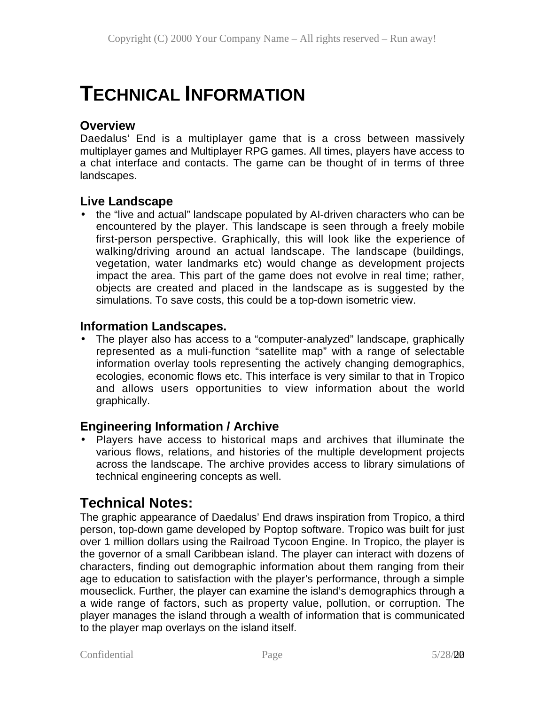# **TECHNICAL INFORMATION**

#### **Overview**

Daedalus' End is a multiplayer game that is a cross between massively multiplayer games and Multiplayer RPG games. All times, players have access to a chat interface and contacts. The game can be thought of in terms of three landscapes.

#### **Live Landscape**

• the "live and actual" landscape populated by AI-driven characters who can be encountered by the player. This landscape is seen through a freely mobile first-person perspective. Graphically, this will look like the experience of walking/driving around an actual landscape. The landscape (buildings, vegetation, water landmarks etc) would change as development projects impact the area. This part of the game does not evolve in real time; rather, objects are created and placed in the landscape as is suggested by the simulations. To save costs, this could be a top-down isometric view.

#### **Information Landscapes.**

• The player also has access to a "computer-analyzed" landscape, graphically represented as a muli-function "satellite map" with a range of selectable information overlay tools representing the actively changing demographics, ecologies, economic flows etc. This interface is very similar to that in Tropico and allows users opportunities to view information about the world graphically.

#### **Engineering Information / Archive**

• Players have access to historical maps and archives that illuminate the various flows, relations, and histories of the multiple development projects across the landscape. The archive provides access to library simulations of technical engineering concepts as well.

## **Technical Notes:**

The graphic appearance of Daedalus' End draws inspiration from Tropico, a third person, top-down game developed by Poptop software. Tropico was built for just over 1 million dollars using the Railroad Tycoon Engine. In Tropico, the player is the governor of a small Caribbean island. The player can interact with dozens of characters, finding out demographic information about them ranging from their age to education to satisfaction with the player's performance, through a simple mouseclick. Further, the player can examine the island's demographics through a a wide range of factors, such as property value, pollution, or corruption. The player manages the island through a wealth of information that is communicated to the player map overlays on the island itself.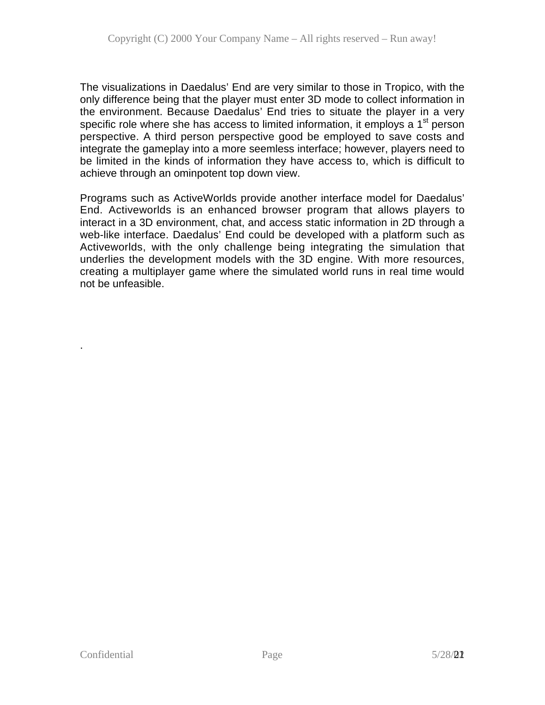The visualizations in Daedalus' End are very similar to those in Tropico, with the only difference being that the player must enter 3D mode to collect information in the environment. Because Daedalus' End tries to situate the player in a very specific role where she has access to limited information, it employs a 1<sup>st</sup> person perspective. A third person perspective good be employed to save costs and integrate the gameplay into a more seemless interface; however, players need to be limited in the kinds of information they have access to, which is difficult to achieve through an ominpotent top down view.

Programs such as ActiveWorlds provide another interface model for Daedalus' End. Activeworlds is an enhanced browser program that allows players to interact in a 3D environment, chat, and access static information in 2D through a web-like interface. Daedalus' End could be developed with a platform such as Activeworlds, with the only challenge being integrating the simulation that underlies the development models with the 3D engine. With more resources, creating a multiplayer game where the simulated world runs in real time would not be unfeasible.

.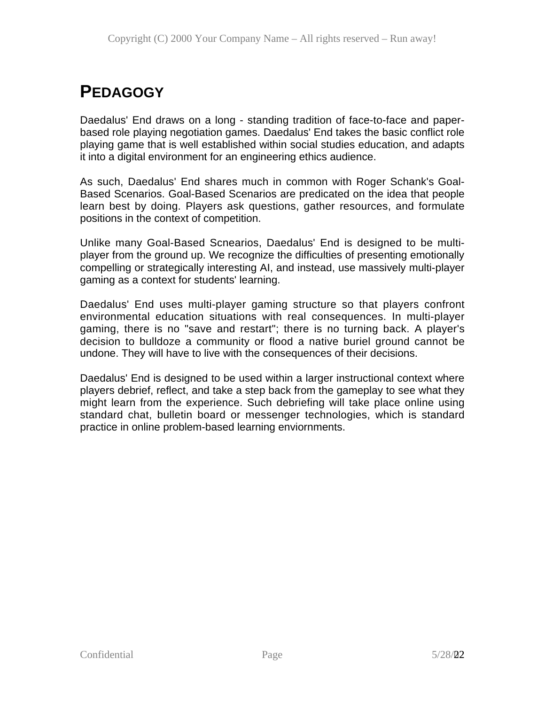# **PEDAGOGY**

Daedalus' End draws on a long - standing tradition of face-to-face and paperbased role playing negotiation games. Daedalus' End takes the basic conflict role playing game that is well established within social studies education, and adapts it into a digital environment for an engineering ethics audience.

As such, Daedalus' End shares much in common with Roger Schank's Goal-Based Scenarios. Goal-Based Scenarios are predicated on the idea that people learn best by doing. Players ask questions, gather resources, and formulate positions in the context of competition.

Unlike many Goal-Based Scnearios, Daedalus' End is designed to be multiplayer from the ground up. We recognize the difficulties of presenting emotionally compelling or strategically interesting AI, and instead, use massively multi-player gaming as a context for students' learning.

Daedalus' End uses multi-player gaming structure so that players confront environmental education situations with real consequences. In multi-player gaming, there is no "save and restart"; there is no turning back. A player's decision to bulldoze a community or flood a native buriel ground cannot be undone. They will have to live with the consequences of their decisions.

Daedalus' End is designed to be used within a larger instructional context where players debrief, reflect, and take a step back from the gameplay to see what they might learn from the experience. Such debriefing will take place online using standard chat, bulletin board or messenger technologies, which is standard practice in online problem-based learning enviornments.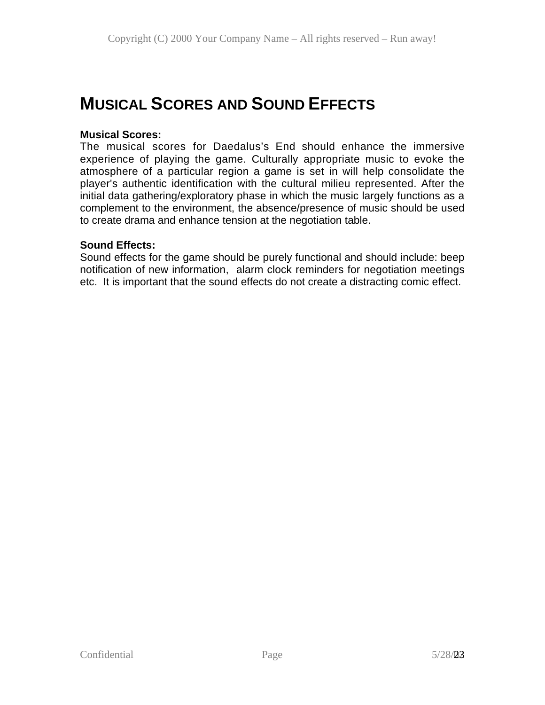## **MUSICAL SCORES AND SOUND EFFECTS**

#### **Musical Scores:**

The musical scores for Daedalus's End should enhance the immersive experience of playing the game. Culturally appropriate music to evoke the atmosphere of a particular region a game is set in will help consolidate the player's authentic identification with the cultural milieu represented. After the initial data gathering/exploratory phase in which the music largely functions as a complement to the environment, the absence/presence of music should be used to create drama and enhance tension at the negotiation table.

#### **Sound Effects:**

Sound effects for the game should be purely functional and should include: beep notification of new information, alarm clock reminders for negotiation meetings etc. It is important that the sound effects do not create a distracting comic effect.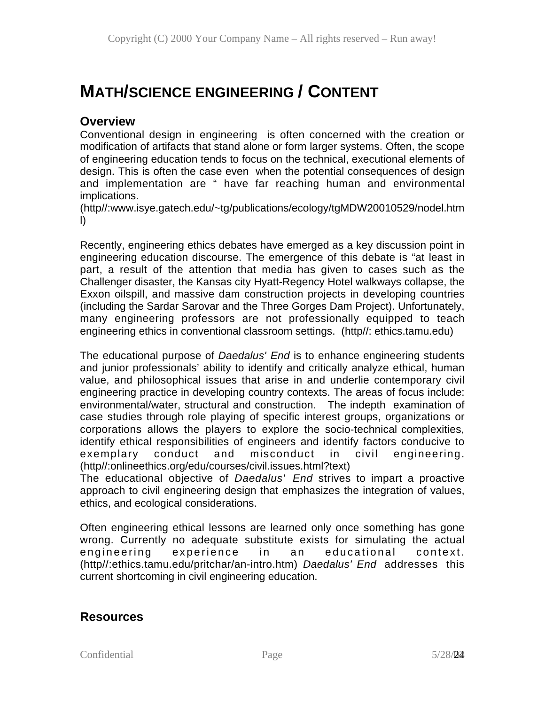## **MATH/SCIENCE ENGINEERING / CONTENT**

#### **Overview**

Conventional design in engineering is often concerned with the creation or modification of artifacts that stand alone or form larger systems. Often, the scope of engineering education tends to focus on the technical, executional elements of design. This is often the case even when the potential consequences of design and implementation are " have far reaching human and environmental implications.

(http//:www.isye.gatech.edu/~tg/publications/ecology/tgMDW20010529/nodel.htm l)

Recently, engineering ethics debates have emerged as a key discussion point in engineering education discourse. The emergence of this debate is "at least in part, a result of the attention that media has given to cases such as the Challenger disaster, the Kansas city Hyatt-Regency Hotel walkways collapse, the Exxon oilspill, and massive dam construction projects in developing countries (including the Sardar Sarovar and the Three Gorges Dam Project). Unfortunately, many engineering professors are not professionally equipped to teach engineering ethics in conventional classroom settings. (http//: ethics.tamu.edu)

The educational purpose of *Daedalus' End* is to enhance engineering students and junior professionals' ability to identify and critically analyze ethical, human value, and philosophical issues that arise in and underlie contemporary civil engineering practice in developing country contexts. The areas of focus include: environmental/water, structural and construction. The indepth examination of case studies through role playing of specific interest groups, organizations or corporations allows the players to explore the socio-technical complexities, identify ethical responsibilities of engineers and identify factors conducive to exemplary conduct and misconduct in civil engineering. (http//:onlineethics.org/edu/courses/civil.issues.html?text)

The educational objective of *Daedalus' End* strives to impart a proactive approach to civil engineering design that emphasizes the integration of values, ethics, and ecological considerations.

Often engineering ethical lessons are learned only once something has gone wrong. Currently no adequate substitute exists for simulating the actual engineering experience in an educational context. (http//:ethics.tamu.edu/pritchar/an-intro.htm) *Daedalus' End* addresses this current shortcoming in civil engineering education.

#### **Resources**